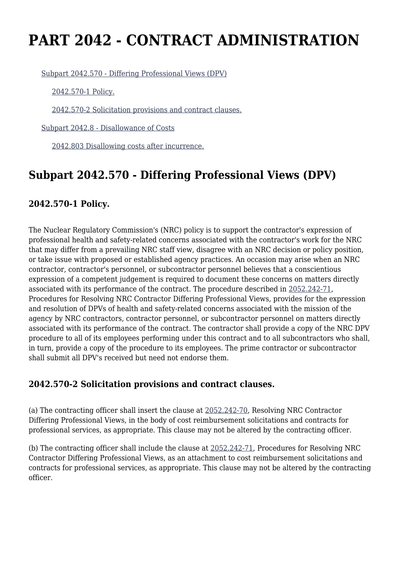# **PART 2042 - CONTRACT ADMINISTRATION**

[Subpart 2042.570 - Differing Professional Views \(DPV\)](https://origin-www.acquisition.gov/%5Brp:link:nrcar-part-2042%5D#Subpart_2042_570_T48_60637231)

[2042.570-1 Policy.](https://origin-www.acquisition.gov/%5Brp:link:nrcar-part-2042%5D#Section_2042_570_1_T48_6063723111)

[2042.570-2 Solicitation provisions and contract clauses.](https://origin-www.acquisition.gov/%5Brp:link:nrcar-part-2042%5D#Section_2042_570_2_T48_6063723112)

[Subpart 2042.8 - Disallowance of Costs](https://origin-www.acquisition.gov/%5Brp:link:nrcar-part-2042%5D#Subpart_2042_8_T48_60637232)

[2042.803 Disallowing costs after incurrence.](https://origin-www.acquisition.gov/%5Brp:link:nrcar-part-2042%5D#Section_2042_803_T48_6063723211)

## **Subpart 2042.570 - Differing Professional Views (DPV)**

### **2042.570-1 Policy.**

The Nuclear Regulatory Commission's (NRC) policy is to support the contractor's expression of professional health and safety-related concerns associated with the contractor's work for the NRC that may differ from a prevailing NRC staff view, disagree with an NRC decision or policy position, or take issue with proposed or established agency practices. An occasion may arise when an NRC contractor, contractor's personnel, or subcontractor personnel believes that a conscientious expression of a competent judgement is required to document these concerns on matters directly associated with its performance of the contract. The procedure described in [2052.242-71,](https://origin-www.acquisition.gov/%5Brp:link:nrcar-part-2052%5D#Section_2052_242_71_T48_60638251135) Procedures for Resolving NRC Contractor Differing Professional Views, provides for the expression and resolution of DPVs of health and safety-related concerns associated with the mission of the agency by NRC contractors, contractor personnel, or subcontractor personnel on matters directly associated with its performance of the contract. The contractor shall provide a copy of the NRC DPV procedure to all of its employees performing under this contract and to all subcontractors who shall, in turn, provide a copy of the procedure to its employees. The prime contractor or subcontractor shall submit all DPV's received but need not endorse them.

#### **2042.570-2 Solicitation provisions and contract clauses.**

(a) The contracting officer shall insert the clause at [2052.242-70,](https://origin-www.acquisition.gov/%5Brp:link:nrcar-part-2052%5D#Section_2052_242_70_T48_60638251134) Resolving NRC Contractor Differing Professional Views, in the body of cost reimbursement solicitations and contracts for professional services, as appropriate. This clause may not be altered by the contracting officer.

(b) The contracting officer shall include the clause at [2052.242-71,](https://origin-www.acquisition.gov/%5Brp:link:nrcar-part-2052%5D#Section_2052_242_71_T48_60638251135) Procedures for Resolving NRC Contractor Differing Professional Views, as an attachment to cost reimbursement solicitations and contracts for professional services, as appropriate. This clause may not be altered by the contracting officer.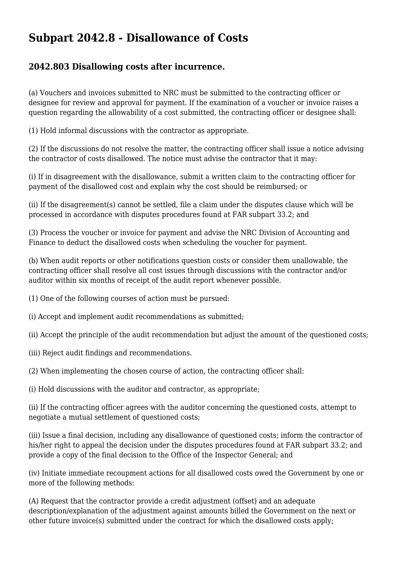## **Subpart 2042.8 - Disallowance of Costs**

#### **2042.803 Disallowing costs after incurrence.**

(a) Vouchers and invoices submitted to NRC must be submitted to the contracting officer or designee for review and approval for payment. If the examination of a voucher or invoice raises a question regarding the allowability of a cost submitted, the contracting officer or designee shall:

(1) Hold informal discussions with the contractor as appropriate.

(2) If the discussions do not resolve the matter, the contracting officer shall issue a notice advising the contractor of costs disallowed. The notice must advise the contractor that it may:

(i) If in disagreement with the disallowance, submit a written claim to the contracting officer for payment of the disallowed cost and explain why the cost should be reimbursed; or

(ii) If the disagreement(s) cannot be settled, file a claim under the disputes clause which will be processed in accordance with disputes procedures found at FAR subpart 33.2; and

(3) Process the voucher or invoice for payment and advise the NRC Division of Accounting and Finance to deduct the disallowed costs when scheduling the voucher for payment.

(b) When audit reports or other notifications question costs or consider them unallowable, the contracting officer shall resolve all cost issues through discussions with the contractor and/or auditor within six months of receipt of the audit report whenever possible.

(1) One of the following courses of action must be pursued:

(i) Accept and implement audit recommendations as submitted;

(ii) Accept the principle of the audit recommendation but adjust the amount of the questioned costs;

(iii) Reject audit findings and recommendations.

(2) When implementing the chosen course of action, the contracting officer shall:

(i) Hold discussions with the auditor and contractor, as appropriate;

(ii) If the contracting officer agrees with the auditor concerning the questioned costs, attempt to negotiate a mutual settlement of questioned costs;

(iii) Issue a final decision, including any disallowance of questioned costs; inform the contractor of his/her right to appeal the decision under the disputes procedures found at FAR subpart 33.2; and provide a copy of the final decision to the Office of the Inspector General; and

(iv) Initiate immediate recoupment actions for all disallowed costs owed the Government by one or more of the following methods:

(A) Request that the contractor provide a credit adjustment (offset) and an adequate description/explanation of the adjustment against amounts billed the Government on the next or other future invoice(s) submitted under the contract for which the disallowed costs apply;